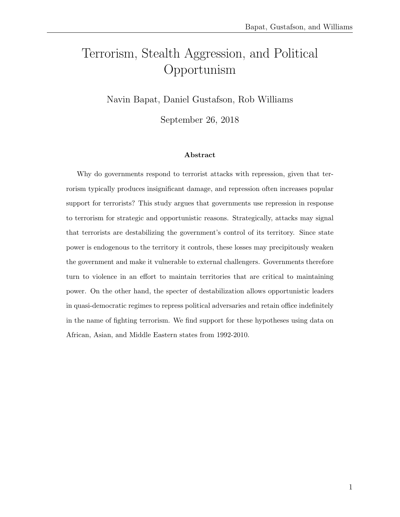# Terrorism, Stealth Aggression, and Political Opportunism

Navin Bapat, Daniel Gustafson, Rob Williams

September 26, 2018

#### Abstract

Why do governments respond to terrorist attacks with repression, given that terrorism typically produces insignificant damage, and repression often increases popular support for terrorists? This study argues that governments use repression in response to terrorism for strategic and opportunistic reasons. Strategically, attacks may signal that terrorists are destabilizing the government's control of its territory. Since state power is endogenous to the territory it controls, these losses may precipitously weaken the government and make it vulnerable to external challengers. Governments therefore turn to violence in an effort to maintain territories that are critical to maintaining power. On the other hand, the specter of destabilization allows opportunistic leaders in quasi-democratic regimes to repress political adversaries and retain office indefinitely in the name of fighting terrorism. We find support for these hypotheses using data on African, Asian, and Middle Eastern states from 1992-2010.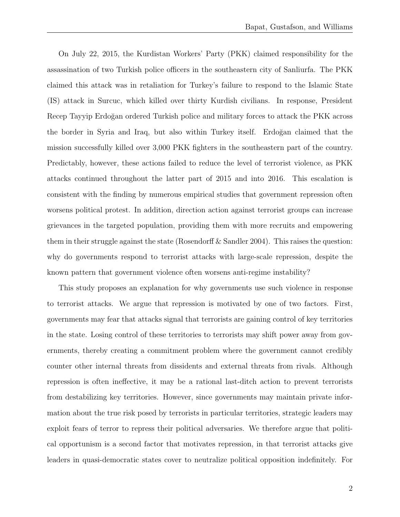On July 22, 2015, the Kurdistan Workers' Party (PKK) claimed responsibility for the assassination of two Turkish police officers in the southeastern city of Sanliurfa. The PKK claimed this attack was in retaliation for Turkey's failure to respond to the Islamic State (IS) attack in Surcuc, which killed over thirty Kurdish civilians. In response, President Recep Tayyip Erdoğan ordered Turkish police and military forces to attack the PKK across the border in Syria and Iraq, but also within Turkey itself. Erdoğan claimed that the mission successfully killed over 3,000 PKK fighters in the southeastern part of the country. Predictably, however, these actions failed to reduce the level of terrorist violence, as PKK attacks continued throughout the latter part of 2015 and into 2016. This escalation is consistent with the finding by numerous empirical studies that government repression often worsens political protest. In addition, direction action against terrorist groups can increase grievances in the targeted population, providing them with more recruits and empowering them in their struggle against the state (Rosendorff  $\&$  Sandler 2004). This raises the question: why do governments respond to terrorist attacks with large-scale repression, despite the known pattern that government violence often worsens anti-regime instability?

This study proposes an explanation for why governments use such violence in response to terrorist attacks. We argue that repression is motivated by one of two factors. First, governments may fear that attacks signal that terrorists are gaining control of key territories in the state. Losing control of these territories to terrorists may shift power away from governments, thereby creating a commitment problem where the government cannot credibly counter other internal threats from dissidents and external threats from rivals. Although repression is often ineffective, it may be a rational last-ditch action to prevent terrorists from destabilizing key territories. However, since governments may maintain private information about the true risk posed by terrorists in particular territories, strategic leaders may exploit fears of terror to repress their political adversaries. We therefore argue that political opportunism is a second factor that motivates repression, in that terrorist attacks give leaders in quasi-democratic states cover to neutralize political opposition indefinitely. For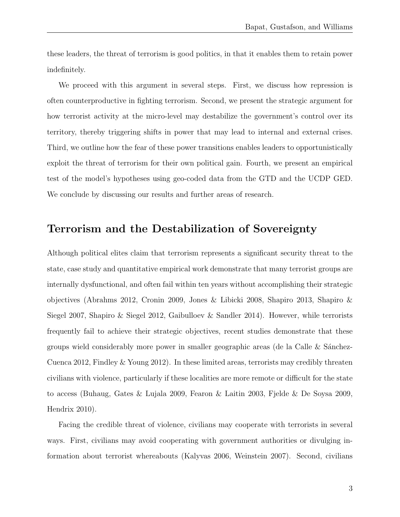these leaders, the threat of terrorism is good politics, in that it enables them to retain power indefinitely.

We proceed with this argument in several steps. First, we discuss how repression is often counterproductive in fighting terrorism. Second, we present the strategic argument for how terrorist activity at the micro-level may destabilize the government's control over its territory, thereby triggering shifts in power that may lead to internal and external crises. Third, we outline how the fear of these power transitions enables leaders to opportunistically exploit the threat of terrorism for their own political gain. Fourth, we present an empirical test of the model's hypotheses using geo-coded data from the GTD and the UCDP GED. We conclude by discussing our results and further areas of research.

### Terrorism and the Destabilization of Sovereignty

Although political elites claim that terrorism represents a significant security threat to the state, case study and quantitative empirical work demonstrate that many terrorist groups are internally dysfunctional, and often fail within ten years without accomplishing their strategic objectives (Abrahms 2012, Cronin 2009, Jones & Libicki 2008, Shapiro 2013, Shapiro & Siegel 2007, Shapiro & Siegel 2012, Gaibulloev & Sandler 2014). However, while terrorists frequently fail to achieve their strategic objectives, recent studies demonstrate that these groups wield considerably more power in smaller geographic areas (de la Calle  $\&$  Sánchez-Cuenca 2012, Findley & Young 2012). In these limited areas, terrorists may credibly threaten civilians with violence, particularly if these localities are more remote or difficult for the state to access (Buhaug, Gates & Lujala 2009, Fearon & Laitin 2003, Fjelde & De Soysa 2009, Hendrix 2010).

Facing the credible threat of violence, civilians may cooperate with terrorists in several ways. First, civilians may avoid cooperating with government authorities or divulging information about terrorist whereabouts (Kalyvas 2006, Weinstein 2007). Second, civilians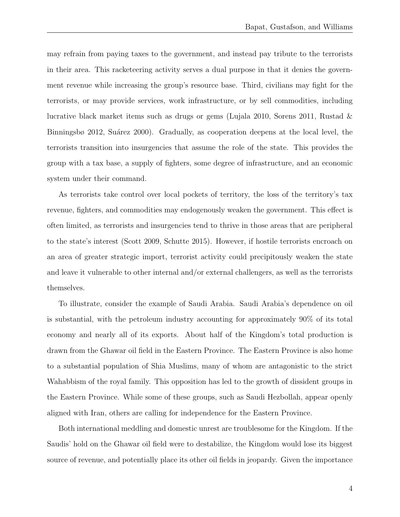may refrain from paying taxes to the government, and instead pay tribute to the terrorists in their area. This racketeering activity serves a dual purpose in that it denies the government revenue while increasing the group's resource base. Third, civilians may fight for the terrorists, or may provide services, work infrastructure, or by sell commodities, including lucrative black market items such as drugs or gems (Lujala 2010, Sorens 2011, Rustad  $\&$ Binningsbø 2012, Suárez 2000). Gradually, as cooperation deepens at the local level, the terrorists transition into insurgencies that assume the role of the state. This provides the group with a tax base, a supply of fighters, some degree of infrastructure, and an economic system under their command.

As terrorists take control over local pockets of territory, the loss of the territory's tax revenue, fighters, and commodities may endogenously weaken the government. This effect is often limited, as terrorists and insurgencies tend to thrive in those areas that are peripheral to the state's interest (Scott 2009, Schutte 2015). However, if hostile terrorists encroach on an area of greater strategic import, terrorist activity could precipitously weaken the state and leave it vulnerable to other internal and/or external challengers, as well as the terrorists themselves.

To illustrate, consider the example of Saudi Arabia. Saudi Arabia's dependence on oil is substantial, with the petroleum industry accounting for approximately 90% of its total economy and nearly all of its exports. About half of the Kingdom's total production is drawn from the Ghawar oil field in the Eastern Province. The Eastern Province is also home to a substantial population of Shia Muslims, many of whom are antagonistic to the strict Wahabbism of the royal family. This opposition has led to the growth of dissident groups in the Eastern Province. While some of these groups, such as Saudi Hezbollah, appear openly aligned with Iran, others are calling for independence for the Eastern Province.

Both international meddling and domestic unrest are troublesome for the Kingdom. If the Saudis' hold on the Ghawar oil field were to destabilize, the Kingdom would lose its biggest source of revenue, and potentially place its other oil fields in jeopardy. Given the importance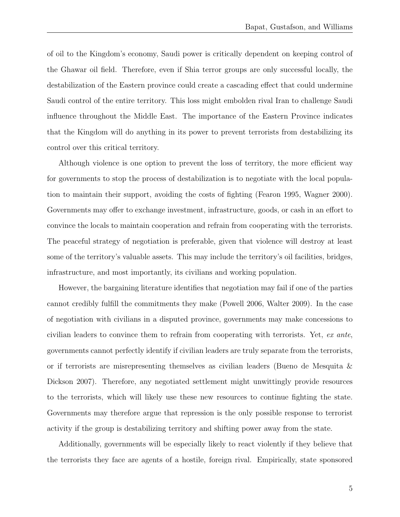of oil to the Kingdom's economy, Saudi power is critically dependent on keeping control of the Ghawar oil field. Therefore, even if Shia terror groups are only successful locally, the destabilization of the Eastern province could create a cascading effect that could undermine Saudi control of the entire territory. This loss might embolden rival Iran to challenge Saudi influence throughout the Middle East. The importance of the Eastern Province indicates that the Kingdom will do anything in its power to prevent terrorists from destabilizing its control over this critical territory.

Although violence is one option to prevent the loss of territory, the more efficient way for governments to stop the process of destabilization is to negotiate with the local population to maintain their support, avoiding the costs of fighting (Fearon 1995, Wagner 2000). Governments may offer to exchange investment, infrastructure, goods, or cash in an effort to convince the locals to maintain cooperation and refrain from cooperating with the terrorists. The peaceful strategy of negotiation is preferable, given that violence will destroy at least some of the territory's valuable assets. This may include the territory's oil facilities, bridges, infrastructure, and most importantly, its civilians and working population.

However, the bargaining literature identifies that negotiation may fail if one of the parties cannot credibly fulfill the commitments they make (Powell 2006, Walter 2009). In the case of negotiation with civilians in a disputed province, governments may make concessions to civilian leaders to convince them to refrain from cooperating with terrorists. Yet, ex ante, governments cannot perfectly identify if civilian leaders are truly separate from the terrorists, or if terrorists are misrepresenting themselves as civilian leaders (Bueno de Mesquita & Dickson 2007). Therefore, any negotiated settlement might unwittingly provide resources to the terrorists, which will likely use these new resources to continue fighting the state. Governments may therefore argue that repression is the only possible response to terrorist activity if the group is destabilizing territory and shifting power away from the state.

Additionally, governments will be especially likely to react violently if they believe that the terrorists they face are agents of a hostile, foreign rival. Empirically, state sponsored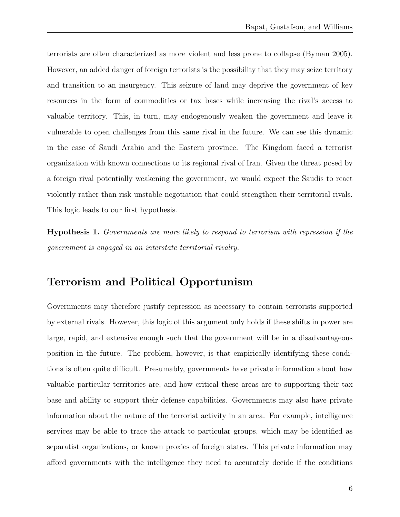terrorists are often characterized as more violent and less prone to collapse (Byman 2005). However, an added danger of foreign terrorists is the possibility that they may seize territory and transition to an insurgency. This seizure of land may deprive the government of key resources in the form of commodities or tax bases while increasing the rival's access to valuable territory. This, in turn, may endogenously weaken the government and leave it vulnerable to open challenges from this same rival in the future. We can see this dynamic in the case of Saudi Arabia and the Eastern province. The Kingdom faced a terrorist organization with known connections to its regional rival of Iran. Given the threat posed by a foreign rival potentially weakening the government, we would expect the Saudis to react violently rather than risk unstable negotiation that could strengthen their territorial rivals. This logic leads to our first hypothesis.

Hypothesis 1. Governments are more likely to respond to terrorism with repression if the government is engaged in an interstate territorial rivalry.

### Terrorism and Political Opportunism

Governments may therefore justify repression as necessary to contain terrorists supported by external rivals. However, this logic of this argument only holds if these shifts in power are large, rapid, and extensive enough such that the government will be in a disadvantageous position in the future. The problem, however, is that empirically identifying these conditions is often quite difficult. Presumably, governments have private information about how valuable particular territories are, and how critical these areas are to supporting their tax base and ability to support their defense capabilities. Governments may also have private information about the nature of the terrorist activity in an area. For example, intelligence services may be able to trace the attack to particular groups, which may be identified as separatist organizations, or known proxies of foreign states. This private information may afford governments with the intelligence they need to accurately decide if the conditions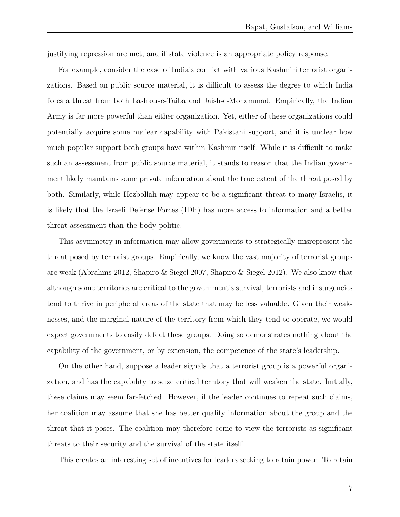justifying repression are met, and if state violence is an appropriate policy response.

For example, consider the case of India's conflict with various Kashmiri terrorist organizations. Based on public source material, it is difficult to assess the degree to which India faces a threat from both Lashkar-e-Taiba and Jaish-e-Mohammad. Empirically, the Indian Army is far more powerful than either organization. Yet, either of these organizations could potentially acquire some nuclear capability with Pakistani support, and it is unclear how much popular support both groups have within Kashmir itself. While it is difficult to make such an assessment from public source material, it stands to reason that the Indian government likely maintains some private information about the true extent of the threat posed by both. Similarly, while Hezbollah may appear to be a significant threat to many Israelis, it is likely that the Israeli Defense Forces (IDF) has more access to information and a better threat assessment than the body politic.

This asymmetry in information may allow governments to strategically misrepresent the threat posed by terrorist groups. Empirically, we know the vast majority of terrorist groups are weak (Abrahms 2012, Shapiro & Siegel 2007, Shapiro & Siegel 2012). We also know that although some territories are critical to the government's survival, terrorists and insurgencies tend to thrive in peripheral areas of the state that may be less valuable. Given their weaknesses, and the marginal nature of the territory from which they tend to operate, we would expect governments to easily defeat these groups. Doing so demonstrates nothing about the capability of the government, or by extension, the competence of the state's leadership.

On the other hand, suppose a leader signals that a terrorist group is a powerful organization, and has the capability to seize critical territory that will weaken the state. Initially, these claims may seem far-fetched. However, if the leader continues to repeat such claims, her coalition may assume that she has better quality information about the group and the threat that it poses. The coalition may therefore come to view the terrorists as significant threats to their security and the survival of the state itself.

This creates an interesting set of incentives for leaders seeking to retain power. To retain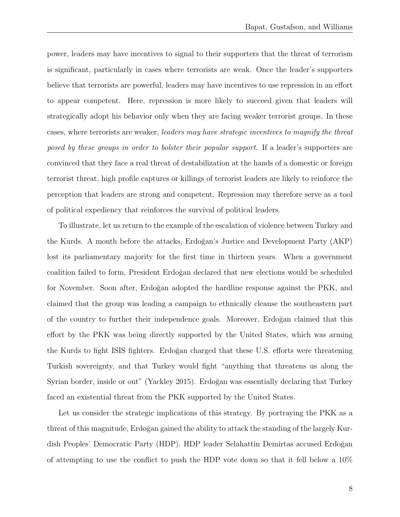power, leaders may have incentives to signal to their supporters that the threat of terrorism is significant, particularly in cases where terrorists are weak. Once the leader's supporters believe that terrorists are powerful, leaders may have incentives to use repression in an effort to appear competent. Here, repression is more likely to succeed given that leaders will strategically adopt his behavior only when they are facing weaker terrorist groups. In these cases, where terrorists are weaker, leaders may have strategic incentives to magnify the threat posed by these groups in order to bolster their popular support. If a leader's supporters are convinced that they face a real threat of destabilization at the hands of a domestic or foreign terrorist threat, high profile captures or killings of terrorist leaders are likely to reinforce the perception that leaders are strong and competent. Repression may therefore serve as a tool of political expediency that reinforces the survival of political leaders.

To illustrate, let us return to the example of the escalation of violence between Turkey and the Kurds. A month before the attacks, Erdoğan's Justice and Development Party (AKP) lost its parliamentary majority for the first time in thirteen years. When a government coalition failed to form, President Erdoğan declared that new elections would be scheduled for November. Soon after, Erdoğan adopted the hardline response against the PKK, and claimed that the group was leading a campaign to ethnically cleanse the southeastern part of the country to further their independence goals. Moreover, Erdoğan claimed that this effort by the PKK was being directly supported by the United States, which was arming the Kurds to fight ISIS fighters. Erdoğan charged that these U.S. efforts were threatening Turkish sovereignty, and that Turkey would fight "anything that threatens us along the Syrian border, inside or out" (Yackley 2015). Erdoğan was essentially declaring that Turkey faced an existential threat from the PKK supported by the United States.

Let us consider the strategic implications of this strategy. By portraying the PKK as a threat of this magnitude, Erdoğan gained the ability to attack the standing of the largely Kurdish Peoples' Democratic Party (HDP). HDP leader Selahattin Demirtas accused Erdoğan of attempting to use the conflict to push the HDP vote down so that it fell below a 10%

8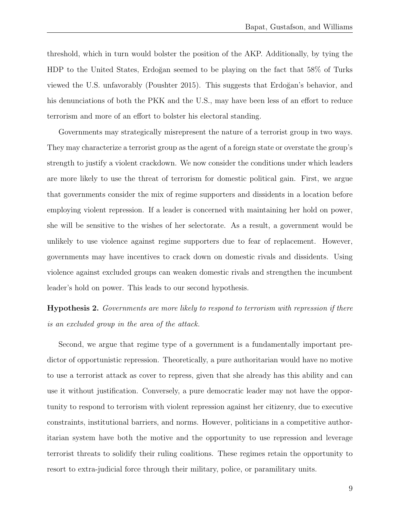threshold, which in turn would bolster the position of the AKP. Additionally, by tying the HDP to the United States, Erdoğan seemed to be playing on the fact that 58% of Turks viewed the U.S. unfavorably (Poushter 2015). This suggests that Erdoğan's behavior, and his denunciations of both the PKK and the U.S., may have been less of an effort to reduce terrorism and more of an effort to bolster his electoral standing.

Governments may strategically misrepresent the nature of a terrorist group in two ways. They may characterize a terrorist group as the agent of a foreign state or overstate the group's strength to justify a violent crackdown. We now consider the conditions under which leaders are more likely to use the threat of terrorism for domestic political gain. First, we argue that governments consider the mix of regime supporters and dissidents in a location before employing violent repression. If a leader is concerned with maintaining her hold on power, she will be sensitive to the wishes of her selectorate. As a result, a government would be unlikely to use violence against regime supporters due to fear of replacement. However, governments may have incentives to crack down on domestic rivals and dissidents. Using violence against excluded groups can weaken domestic rivals and strengthen the incumbent leader's hold on power. This leads to our second hypothesis.

Hypothesis 2. Governments are more likely to respond to terrorism with repression if there is an excluded group in the area of the attack.

Second, we argue that regime type of a government is a fundamentally important predictor of opportunistic repression. Theoretically, a pure authoritarian would have no motive to use a terrorist attack as cover to repress, given that she already has this ability and can use it without justification. Conversely, a pure democratic leader may not have the opportunity to respond to terrorism with violent repression against her citizenry, due to executive constraints, institutional barriers, and norms. However, politicians in a competitive authoritarian system have both the motive and the opportunity to use repression and leverage terrorist threats to solidify their ruling coalitions. These regimes retain the opportunity to resort to extra-judicial force through their military, police, or paramilitary units.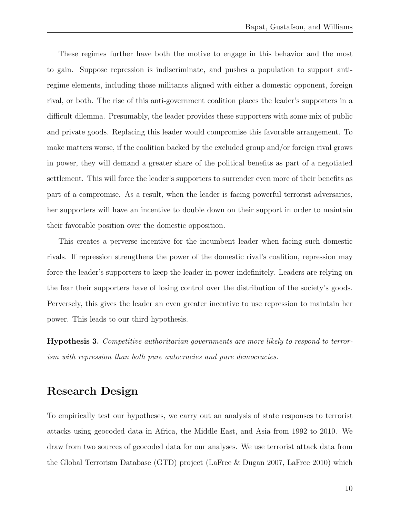These regimes further have both the motive to engage in this behavior and the most to gain. Suppose repression is indiscriminate, and pushes a population to support antiregime elements, including those militants aligned with either a domestic opponent, foreign rival, or both. The rise of this anti-government coalition places the leader's supporters in a difficult dilemma. Presumably, the leader provides these supporters with some mix of public and private goods. Replacing this leader would compromise this favorable arrangement. To make matters worse, if the coalition backed by the excluded group and/or foreign rival grows in power, they will demand a greater share of the political benefits as part of a negotiated settlement. This will force the leader's supporters to surrender even more of their benefits as part of a compromise. As a result, when the leader is facing powerful terrorist adversaries, her supporters will have an incentive to double down on their support in order to maintain their favorable position over the domestic opposition.

This creates a perverse incentive for the incumbent leader when facing such domestic rivals. If repression strengthens the power of the domestic rival's coalition, repression may force the leader's supporters to keep the leader in power indefinitely. Leaders are relying on the fear their supporters have of losing control over the distribution of the society's goods. Perversely, this gives the leader an even greater incentive to use repression to maintain her power. This leads to our third hypothesis.

Hypothesis 3. Competitive authoritarian governments are more likely to respond to terrorism with repression than both pure autocracies and pure democracies.

### Research Design

To empirically test our hypotheses, we carry out an analysis of state responses to terrorist attacks using geocoded data in Africa, the Middle East, and Asia from 1992 to 2010. We draw from two sources of geocoded data for our analyses. We use terrorist attack data from the Global Terrorism Database (GTD) project (LaFree & Dugan 2007, LaFree 2010) which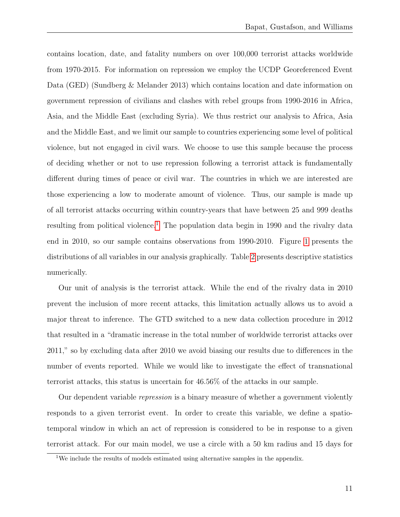contains location, date, and fatality numbers on over 100,000 terrorist attacks worldwide from 1970-2015. For information on repression we employ the UCDP Georeferenced Event Data (GED) (Sundberg & Melander 2013) which contains location and date information on government repression of civilians and clashes with rebel groups from 1990-2016 in Africa, Asia, and the Middle East (excluding Syria). We thus restrict our analysis to Africa, Asia and the Middle East, and we limit our sample to countries experiencing some level of political violence, but not engaged in civil wars. We choose to use this sample because the process of deciding whether or not to use repression following a terrorist attack is fundamentally different during times of peace or civil war. The countries in which we are interested are those experiencing a low to moderate amount of violence. Thus, our sample is made up of all terrorist attacks occurring within country-years that have between 25 and 999 deaths resulting from political violence.<sup>[1](#page-10-0)</sup> The population data begin in 1990 and the rivalry data end in 2010, so our sample contains observations from 1990-2010. Figure [1](#page-11-0) presents the distributions of all variables in our analysis graphically. Table [2](#page-26-0) presents descriptive statistics numerically.

Our unit of analysis is the terrorist attack. While the end of the rivalry data in 2010 prevent the inclusion of more recent attacks, this limitation actually allows us to avoid a major threat to inference. The GTD switched to a new data collection procedure in 2012 that resulted in a "dramatic increase in the total number of worldwide terrorist attacks over 2011," so by excluding data after 2010 we avoid biasing our results due to differences in the number of events reported. While we would like to investigate the effect of transnational terrorist attacks, this status is uncertain for 46.56% of the attacks in our sample.

Our dependent variable *repression* is a binary measure of whether a government violently responds to a given terrorist event. In order to create this variable, we define a spatiotemporal window in which an act of repression is considered to be in response to a given terrorist attack. For our main model, we use a circle with a 50 km radius and 15 days for

<span id="page-10-0"></span><sup>&</sup>lt;sup>1</sup>We include the results of models estimated using alternative samples in the appendix.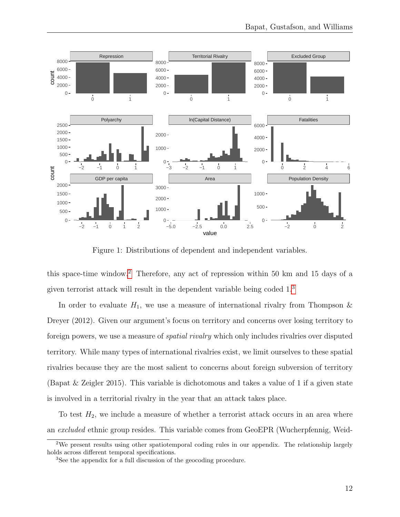<span id="page-11-0"></span>

Figure 1: Distributions of dependent and independent variables.

this space-time window.[2](#page-11-1) Therefore, any act of repression within 50 km and 15 days of a given terrorist attack will result in the dependent variable being coded 1.[3](#page-11-2)

In order to evaluate  $H_1$ , we use a measure of international rivalry from Thompson  $\&$ Dreyer (2012). Given our argument's focus on territory and concerns over losing territory to foreign powers, we use a measure of spatial rivalry which only includes rivalries over disputed territory. While many types of international rivalries exist, we limit ourselves to these spatial rivalries because they are the most salient to concerns about foreign subversion of territory (Bapat & Zeigler 2015). This variable is dichotomous and takes a value of 1 if a given state is involved in a territorial rivalry in the year that an attack takes place.

To test  $H_2$ , we include a measure of whether a terrorist attack occurs in an area where an excluded ethnic group resides. This variable comes from GeoEPR (Wucherpfennig, Weid-

<span id="page-11-1"></span>We present results using other spatiotemporal coding rules in our appendix. The relationship largely holds across different temporal specifications.

<span id="page-11-2"></span>See the appendix for a full discussion of the geocoding procedure.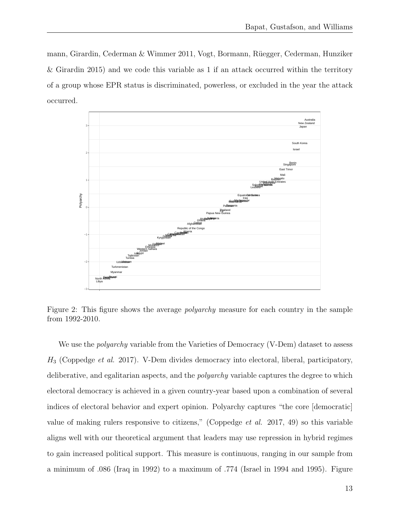mann, Girardin, Cederman & Wimmer 2011, Vogt, Bormann, Rüegger, Cederman, Hunziker & Girardin 2015) and we code this variable as 1 if an attack occurred within the territory of a group whose EPR status is discriminated, powerless, or excluded in the year the attack occurred.



Figure 2: This figure shows the average *polyarchy* measure for each country in the sample from 1992-2010.

We use the *polyarchy* variable from the Varieties of Democracy (V-Dem) dataset to assess  $H_3$  (Coppedge *et al.* 2017). V-Dem divides democracy into electoral, liberal, participatory, deliberative, and egalitarian aspects, and the *polyarchy* variable captures the degree to which electoral democracy is achieved in a given country-year based upon a combination of several indices of electoral behavior and expert opinion. Polyarchy captures "the core [democratic] value of making rulers responsive to citizens," (Coppedge et al. 2017, 49) so this variable aligns well with our theoretical argument that leaders may use repression in hybrid regimes to gain increased political support. This measure is continuous, ranging in our sample from a minimum of .086 (Iraq in 1992) to a maximum of .774 (Israel in 1994 and 1995). Figure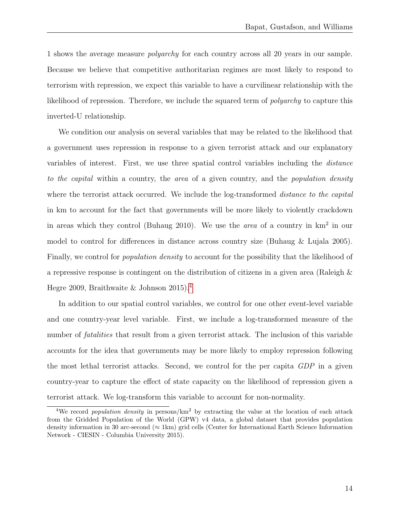1 shows the average measure polyarchy for each country across all 20 years in our sample. Because we believe that competitive authoritarian regimes are most likely to respond to terrorism with repression, we expect this variable to have a curvilinear relationship with the likelihood of repression. Therefore, we include the squared term of *polyarchy* to capture this inverted-U relationship.

We condition our analysis on several variables that may be related to the likelihood that a government uses repression in response to a given terrorist attack and our explanatory variables of interest. First, we use three spatial control variables including the distance to the capital within a country, the area of a given country, and the population density where the terrorist attack occurred. We include the log-transformed *distance to the capital* in km to account for the fact that governments will be more likely to violently crackdown in areas which they control (Buhaug 2010). We use the *area* of a country in  $km^2$  in our model to control for differences in distance across country size (Buhaug & Lujala 2005). Finally, we control for *population density* to account for the possibility that the likelihood of a repressive response is contingent on the distribution of citizens in a given area (Raleigh & Hegre 2009, Braithwaite & Johnson  $2015$ .<sup>[4](#page-13-0)</sup>

In addition to our spatial control variables, we control for one other event-level variable and one country-year level variable. First, we include a log-transformed measure of the number of *fatalities* that result from a given terrorist attack. The inclusion of this variable accounts for the idea that governments may be more likely to employ repression following the most lethal terrorist attacks. Second, we control for the per capita GDP in a given country-year to capture the effect of state capacity on the likelihood of repression given a terrorist attack. We log-transform this variable to account for non-normality.

<span id="page-13-0"></span><sup>&</sup>lt;sup>4</sup>We record *population density* in persons/ $km^2$  by extracting the value at the location of each attack from the Gridded Population of the World (GPW) v4 data, a global dataset that provides population density information in 30 arc-second ( $\approx$  1km) grid cells (Center for International Earth Science Information Network - CIESIN - Columbia University 2015).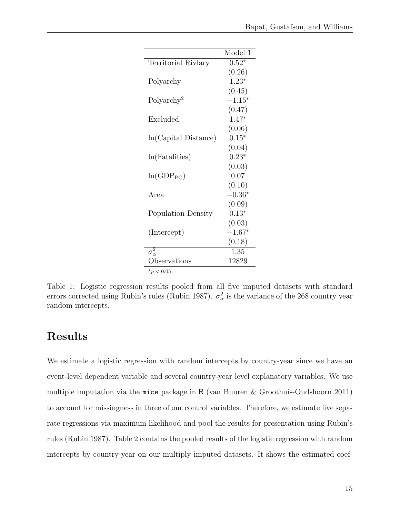|                        | Model 1  |
|------------------------|----------|
| Territorial Rivlary    | $0.52*$  |
|                        | (0.26)   |
| Polyarchy              | $1.23*$  |
|                        | (0.45)   |
| Polyarchy <sup>2</sup> | $-1.15*$ |
|                        | (0.47)   |
| Excluded               | $1.47*$  |
|                        | (0.06)   |
| ln(Capital Distance)   | $0.15*$  |
|                        | (0.04)   |
| ln(Fatalities)         | $0.23*$  |
|                        | (0.03)   |
| $ln(GDP_{PC})$         | 0.07     |
|                        | (0.10)   |
| Area                   | $-0.36*$ |
|                        | (0.09)   |
| Population Density     | $0.13*$  |
|                        | (0.03)   |
| (Intercept)            | $-1.67*$ |
|                        | (0.18)   |
| $\sigma_{\alpha}^2$    | 1.35     |
| Observations           | 12829    |
| $*_{p}$ < 0.05         |          |

Table 1: Logistic regression results pooled from all five imputed datasets with standard errors corrected using Rubin's rules (Rubin 1987).  $\sigma_{\alpha}^2$  is the variance of the 268 country year random intercepts.

# Results

We estimate a logistic regression with random intercepts by country-year since we have an event-level dependent variable and several country-year level explanatory variables. We use multiple imputation via the mice package in R (van Buuren & Groothuis-Oudshoorn 2011) to account for missingness in three of our control variables. Therefore, we estimate five separate regressions via maximum likelihood and pool the results for presentation using Rubin's rules (Rubin 1987). Table 2 contains the pooled results of the logistic regression with random intercepts by country-year on our multiply imputed datasets. It shows the estimated coef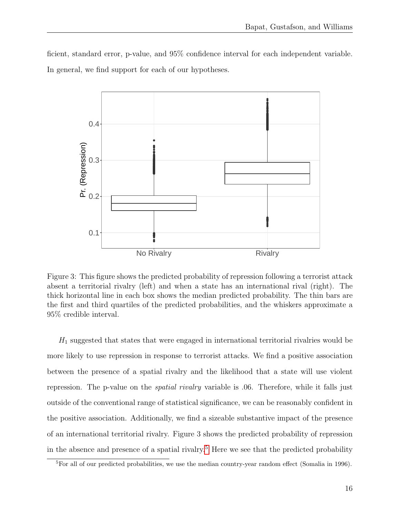ficient, standard error, p-value, and 95% confidence interval for each independent variable. In general, we find support for each of our hypotheses.



Figure 3: This figure shows the predicted probability of repression following a terrorist attack absent a territorial rivalry (left) and when a state has an international rival (right). The thick horizontal line in each box shows the median predicted probability. The thin bars are the first and third quartiles of the predicted probabilities, and the whiskers approximate a 95% credible interval.

 $H_1$  suggested that states that were engaged in international territorial rivalries would be more likely to use repression in response to terrorist attacks. We find a positive association between the presence of a spatial rivalry and the likelihood that a state will use violent repression. The p-value on the *spatial rivalry* variable is 0.06. Therefore, while it falls just outside of the conventional range of statistical significance, we can be reasonably confident in the positive association. Additionally, we find a sizeable substantive impact of the presence of an international territorial rivalry. Figure 3 shows the predicted probability of repression in the absence and presence of a spatial rivalry.<sup>[5](#page-15-0)</sup> Here we see that the predicted probability

<span id="page-15-0"></span> ${}^{5}$ For all of our predicted probabilities, we use the median country-year random effect (Somalia in 1996).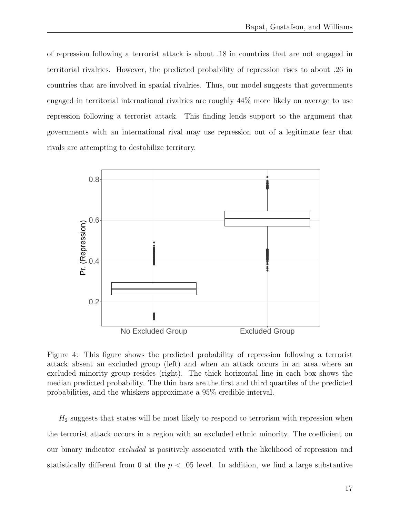of repression following a terrorist attack is about .18 in countries that are not engaged in territorial rivalries. However, the predicted probability of repression rises to about .26 in countries that are involved in spatial rivalries. Thus, our model suggests that governments engaged in territorial international rivalries are roughly 44% more likely on average to use repression following a terrorist attack. This finding lends support to the argument that governments with an international rival may use repression out of a legitimate fear that rivals are attempting to destabilize territory.



Figure 4: This figure shows the predicted probability of repression following a terrorist attack absent an excluded group (left) and when an attack occurs in an area where an excluded minority group resides (right). The thick horizontal line in each box shows the median predicted probability. The thin bars are the first and third quartiles of the predicted probabilities, and the whiskers approximate a 95% credible interval.

 $H_2$  suggests that states will be most likely to respond to terrorism with repression when the terrorist attack occurs in a region with an excluded ethnic minority. The coefficient on our binary indicator excluded is positively associated with the likelihood of repression and statistically different from 0 at the  $p < .05$  level. In addition, we find a large substantive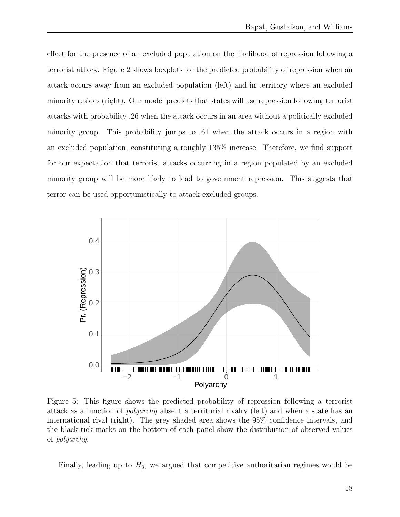effect for the presence of an excluded population on the likelihood of repression following a terrorist attack. Figure 2 shows boxplots for the predicted probability of repression when an attack occurs away from an excluded population (left) and in territory where an excluded minority resides (right). Our model predicts that states will use repression following terrorist attacks with probability .26 when the attack occurs in an area without a politically excluded minority group. This probability jumps to .61 when the attack occurs in a region with an excluded population, constituting a roughly 135% increase. Therefore, we find support for our expectation that terrorist attacks occurring in a region populated by an excluded minority group will be more likely to lead to government repression. This suggests that terror can be used opportunistically to attack excluded groups.



Figure 5: This figure shows the predicted probability of repression following a terrorist attack as a function of polyarchy absent a territorial rivalry (left) and when a state has an international rival (right). The grey shaded area shows the 95% confidence intervals, and the black tick-marks on the bottom of each panel show the distribution of observed values of polyarchy.

Finally, leading up to  $H_3$ , we argued that competitive authoritarian regimes would be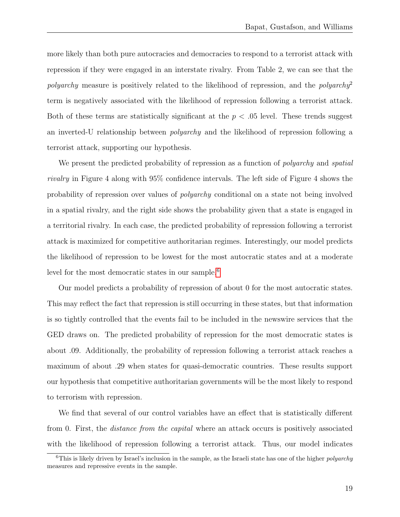more likely than both pure autocracies and democracies to respond to a terrorist attack with repression if they were engaged in an interstate rivalry. From Table 2, we can see that the *polyarchy* measure is positively related to the likelihood of repression, and the *polyarchy*<sup>2</sup> term is negatively associated with the likelihood of repression following a terrorist attack. Both of these terms are statistically significant at the  $p < .05$  level. These trends suggest an inverted-U relationship between polyarchy and the likelihood of repression following a terrorist attack, supporting our hypothesis.

We present the predicted probability of repression as a function of *polyarchy* and *spatial* rivalry in Figure 4 along with 95% confidence intervals. The left side of Figure 4 shows the probability of repression over values of polyarchy conditional on a state not being involved in a spatial rivalry, and the right side shows the probability given that a state is engaged in a territorial rivalry. In each case, the predicted probability of repression following a terrorist attack is maximized for competitive authoritarian regimes. Interestingly, our model predicts the likelihood of repression to be lowest for the most autocratic states and at a moderate level for the most democratic states in our sample.[6](#page-18-0)

Our model predicts a probability of repression of about 0 for the most autocratic states. This may reflect the fact that repression is still occurring in these states, but that information is so tightly controlled that the events fail to be included in the newswire services that the GED draws on. The predicted probability of repression for the most democratic states is about .09. Additionally, the probability of repression following a terrorist attack reaches a maximum of about .29 when states for quasi-democratic countries. These results support our hypothesis that competitive authoritarian governments will be the most likely to respond to terrorism with repression.

We find that several of our control variables have an effect that is statistically different from 0. First, the distance from the capital where an attack occurs is positively associated with the likelihood of repression following a terrorist attack. Thus, our model indicates

<span id="page-18-0"></span><sup>&</sup>lt;sup>6</sup>This is likely driven by Israel's inclusion in the sample, as the Israeli state has one of the higher *polyarchy* measures and repressive events in the sample.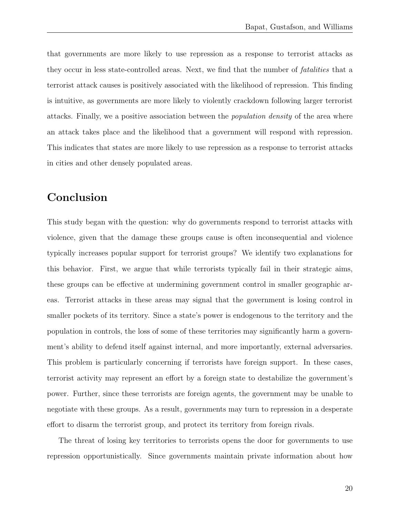that governments are more likely to use repression as a response to terrorist attacks as they occur in less state-controlled areas. Next, we find that the number of *fatalities* that a terrorist attack causes is positively associated with the likelihood of repression. This finding is intuitive, as governments are more likely to violently crackdown following larger terrorist attacks. Finally, we a positive association between the population density of the area where an attack takes place and the likelihood that a government will respond with repression. This indicates that states are more likely to use repression as a response to terrorist attacks in cities and other densely populated areas.

## Conclusion

This study began with the question: why do governments respond to terrorist attacks with violence, given that the damage these groups cause is often inconsequential and violence typically increases popular support for terrorist groups? We identify two explanations for this behavior. First, we argue that while terrorists typically fail in their strategic aims, these groups can be effective at undermining government control in smaller geographic areas. Terrorist attacks in these areas may signal that the government is losing control in smaller pockets of its territory. Since a state's power is endogenous to the territory and the population in controls, the loss of some of these territories may significantly harm a government's ability to defend itself against internal, and more importantly, external adversaries. This problem is particularly concerning if terrorists have foreign support. In these cases, terrorist activity may represent an effort by a foreign state to destabilize the government's power. Further, since these terrorists are foreign agents, the government may be unable to negotiate with these groups. As a result, governments may turn to repression in a desperate effort to disarm the terrorist group, and protect its territory from foreign rivals.

The threat of losing key territories to terrorists opens the door for governments to use repression opportunistically. Since governments maintain private information about how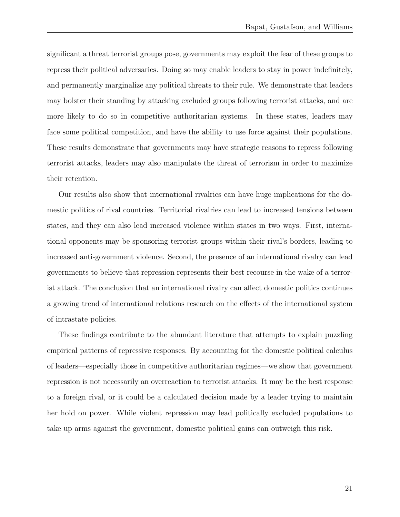significant a threat terrorist groups pose, governments may exploit the fear of these groups to repress their political adversaries. Doing so may enable leaders to stay in power indefinitely, and permanently marginalize any political threats to their rule. We demonstrate that leaders may bolster their standing by attacking excluded groups following terrorist attacks, and are more likely to do so in competitive authoritarian systems. In these states, leaders may face some political competition, and have the ability to use force against their populations. These results demonstrate that governments may have strategic reasons to repress following terrorist attacks, leaders may also manipulate the threat of terrorism in order to maximize their retention.

Our results also show that international rivalries can have huge implications for the domestic politics of rival countries. Territorial rivalries can lead to increased tensions between states, and they can also lead increased violence within states in two ways. First, international opponents may be sponsoring terrorist groups within their rival's borders, leading to increased anti-government violence. Second, the presence of an international rivalry can lead governments to believe that repression represents their best recourse in the wake of a terrorist attack. The conclusion that an international rivalry can affect domestic politics continues a growing trend of international relations research on the effects of the international system of intrastate policies.

These findings contribute to the abundant literature that attempts to explain puzzling empirical patterns of repressive responses. By accounting for the domestic political calculus of leaders—especially those in competitive authoritarian regimes—we show that government repression is not necessarily an overreaction to terrorist attacks. It may be the best response to a foreign rival, or it could be a calculated decision made by a leader trying to maintain her hold on power. While violent repression may lead politically excluded populations to take up arms against the government, domestic political gains can outweigh this risk.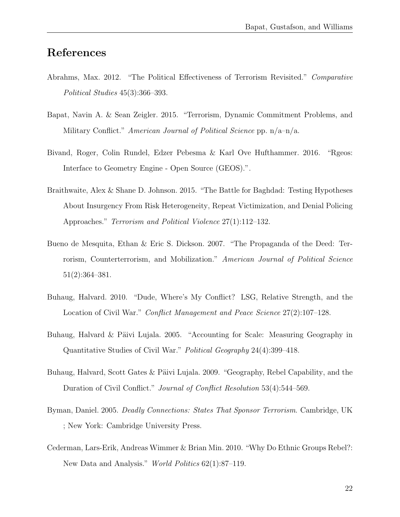# References

- Abrahms, Max. 2012. "The Political Effectiveness of Terrorism Revisited." Comparative Political Studies 45(3):366–393.
- Bapat, Navin A. & Sean Zeigler. 2015. "Terrorism, Dynamic Commitment Problems, and Military Conflict." American Journal of Political Science pp.  $n/a-n/a$ .
- Bivand, Roger, Colin Rundel, Edzer Pebesma & Karl Ove Hufthammer. 2016. "Rgeos: Interface to Geometry Engine - Open Source (GEOS).".
- Braithwaite, Alex & Shane D. Johnson. 2015. "The Battle for Baghdad: Testing Hypotheses About Insurgency From Risk Heterogeneity, Repeat Victimization, and Denial Policing Approaches." Terrorism and Political Violence 27(1):112–132.
- Bueno de Mesquita, Ethan & Eric S. Dickson. 2007. "The Propaganda of the Deed: Terrorism, Counterterrorism, and Mobilization." American Journal of Political Science 51(2):364–381.
- Buhaug, Halvard. 2010. "Dude, Where's My Conflict? LSG, Relative Strength, and the Location of Civil War." *Conflict Management and Peace Science* 27(2):107–128.
- Buhaug, Halvard & Päivi Lujala. 2005. "Accounting for Scale: Measuring Geography in Quantitative Studies of Civil War." Political Geography 24(4):399–418.
- Buhaug, Halvard, Scott Gates & Päivi Lujala. 2009. "Geography, Rebel Capability, and the Duration of Civil Conflict." Journal of Conflict Resolution 53(4):544–569.
- Byman, Daniel. 2005. Deadly Connections: States That Sponsor Terrorism. Cambridge, UK ; New York: Cambridge University Press.
- Cederman, Lars-Erik, Andreas Wimmer & Brian Min. 2010. "Why Do Ethnic Groups Rebel?: New Data and Analysis." World Politics 62(1):87–119.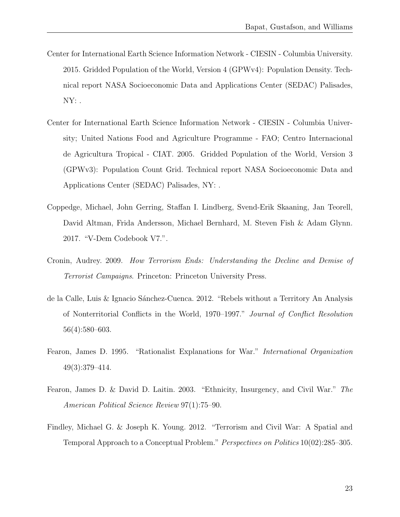- Center for International Earth Science Information Network CIESIN Columbia University. 2015. Gridded Population of the World, Version 4 (GPWv4): Population Density. Technical report NASA Socioeconomic Data and Applications Center (SEDAC) Palisades,  $NY:$ .
- Center for International Earth Science Information Network CIESIN Columbia University; United Nations Food and Agriculture Programme - FAO; Centro Internacional de Agricultura Tropical - CIAT. 2005. Gridded Population of the World, Version 3 (GPWv3): Population Count Grid. Technical report NASA Socioeconomic Data and Applications Center (SEDAC) Palisades, NY: .
- Coppedge, Michael, John Gerring, Staffan I. Lindberg, Svend-Erik Skaaning, Jan Teorell, David Altman, Frida Andersson, Michael Bernhard, M. Steven Fish & Adam Glynn. 2017. "V-Dem Codebook V7.".
- Cronin, Audrey. 2009. How Terrorism Ends: Understanding the Decline and Demise of Terrorist Campaigns. Princeton: Princeton University Press.
- de la Calle, Luis & Ignacio Sánchez-Cuenca. 2012. "Rebels without a Territory An Analysis of Nonterritorial Conflicts in the World, 1970–1997." Journal of Conflict Resolution 56(4):580–603.
- Fearon, James D. 1995. "Rationalist Explanations for War." International Organization 49(3):379–414.
- Fearon, James D. & David D. Laitin. 2003. "Ethnicity, Insurgency, and Civil War." The American Political Science Review 97(1):75–90.
- Findley, Michael G. & Joseph K. Young. 2012. "Terrorism and Civil War: A Spatial and Temporal Approach to a Conceptual Problem." Perspectives on Politics 10(02):285–305.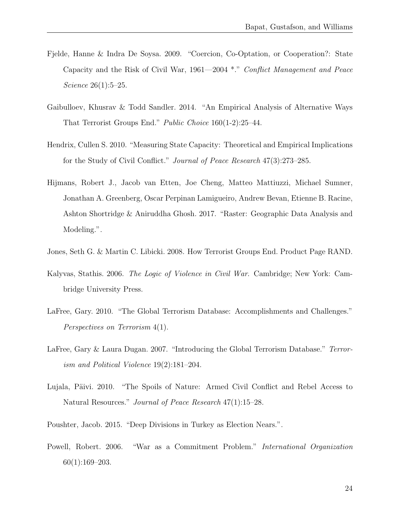- Fjelde, Hanne & Indra De Soysa. 2009. "Coercion, Co-Optation, or Cooperation?: State Capacity and the Risk of Civil War, 1961—2004 \*." Conflict Management and Peace Science 26(1):5–25.
- Gaibulloev, Khusrav & Todd Sandler. 2014. "An Empirical Analysis of Alternative Ways That Terrorist Groups End." Public Choice 160(1-2):25–44.
- Hendrix, Cullen S. 2010. "Measuring State Capacity: Theoretical and Empirical Implications for the Study of Civil Conflict." Journal of Peace Research 47(3):273–285.
- Hijmans, Robert J., Jacob van Etten, Joe Cheng, Matteo Mattiuzzi, Michael Sumner, Jonathan A. Greenberg, Oscar Perpinan Lamigueiro, Andrew Bevan, Etienne B. Racine, Ashton Shortridge & Aniruddha Ghosh. 2017. "Raster: Geographic Data Analysis and Modeling.".
- Jones, Seth G. & Martin C. Libicki. 2008. How Terrorist Groups End. Product Page RAND.
- Kalyvas, Stathis. 2006. The Logic of Violence in Civil War. Cambridge; New York: Cambridge University Press.
- LaFree, Gary. 2010. "The Global Terrorism Database: Accomplishments and Challenges." Perspectives on Terrorism 4(1).
- LaFree, Gary & Laura Dugan. 2007. "Introducing the Global Terrorism Database." Terrorism and Political Violence 19(2):181–204.
- Lujala, Päivi. 2010. "The Spoils of Nature: Armed Civil Conflict and Rebel Access to Natural Resources." Journal of Peace Research 47(1):15–28.
- Poushter, Jacob. 2015. "Deep Divisions in Turkey as Election Nears.".
- Powell, Robert. 2006. "War as a Commitment Problem." International Organization 60(1):169–203.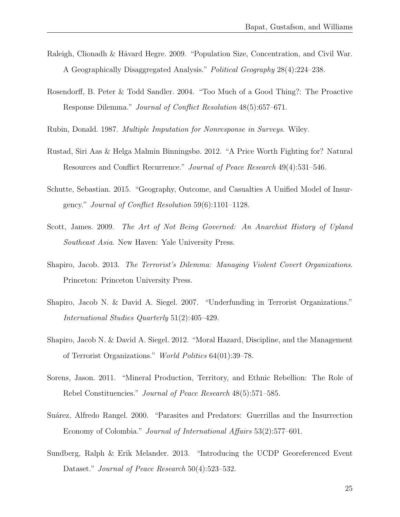- Raleigh, Clionadh & Håvard Hegre. 2009. "Population Size, Concentration, and Civil War. A Geographically Disaggregated Analysis." Political Geography 28(4):224–238.
- Rosendorff, B. Peter & Todd Sandler. 2004. "Too Much of a Good Thing?: The Proactive Response Dilemma." Journal of Conflict Resolution 48(5):657–671.
- Rubin, Donald. 1987. Multiple Imputation for Nonresponse in Surveys. Wiley.
- Rustad, Siri Aas & Helga Malmin Binningsbø. 2012. "A Price Worth Fighting for? Natural Resources and Conflict Recurrence." Journal of Peace Research 49(4):531–546.
- Schutte, Sebastian. 2015. "Geography, Outcome, and Casualties A Unified Model of Insurgency." Journal of Conflict Resolution 59(6):1101–1128.
- Scott, James. 2009. The Art of Not Being Governed: An Anarchist History of Upland Southeast Asia. New Haven: Yale University Press.
- Shapiro, Jacob. 2013. The Terrorist's Dilemma: Managing Violent Covert Organizations. Princeton: Princeton University Press.
- Shapiro, Jacob N. & David A. Siegel. 2007. "Underfunding in Terrorist Organizations." International Studies Quarterly 51(2):405–429.
- Shapiro, Jacob N. & David A. Siegel. 2012. "Moral Hazard, Discipline, and the Management of Terrorist Organizations." World Politics 64(01):39–78.
- Sorens, Jason. 2011. "Mineral Production, Territory, and Ethnic Rebellion: The Role of Rebel Constituencies." Journal of Peace Research 48(5):571–585.
- Suárez, Alfredo Rangel. 2000. "Parasites and Predators: Guerrillas and the Insurrection Economy of Colombia." Journal of International Affairs 53(2):577–601.
- Sundberg, Ralph & Erik Melander. 2013. "Introducing the UCDP Georeferenced Event Dataset." *Journal of Peace Research* 50(4):523–532.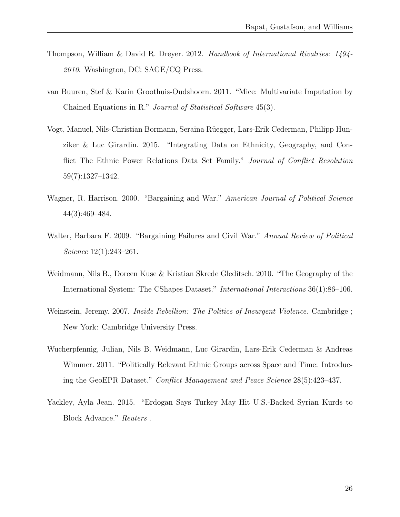- Thompson, William & David R. Dreyer. 2012. Handbook of International Rivalries: 1494- 2010. Washington, DC: SAGE/CQ Press.
- van Buuren, Stef & Karin Groothuis-Oudshoorn. 2011. "Mice: Multivariate Imputation by Chained Equations in R." Journal of Statistical Software 45(3).
- Vogt, Manuel, Nils-Christian Bormann, Seraina R¨uegger, Lars-Erik Cederman, Philipp Hunziker & Luc Girardin. 2015. "Integrating Data on Ethnicity, Geography, and Conflict The Ethnic Power Relations Data Set Family." Journal of Conflict Resolution 59(7):1327–1342.
- Wagner, R. Harrison. 2000. "Bargaining and War." American Journal of Political Science 44(3):469–484.
- Walter, Barbara F. 2009. "Bargaining Failures and Civil War." Annual Review of Political Science 12(1):243–261.
- Weidmann, Nils B., Doreen Kuse & Kristian Skrede Gleditsch. 2010. "The Geography of the International System: The CShapes Dataset." International Interactions 36(1):86–106.
- Weinstein, Jeremy. 2007. Inside Rebellion: The Politics of Insurgent Violence. Cambridge; New York: Cambridge University Press.
- Wucherpfennig, Julian, Nils B. Weidmann, Luc Girardin, Lars-Erik Cederman & Andreas Wimmer. 2011. "Politically Relevant Ethnic Groups across Space and Time: Introducing the GeoEPR Dataset." Conflict Management and Peace Science 28(5):423–437.
- Yackley, Ayla Jean. 2015. "Erdogan Says Turkey May Hit U.S.-Backed Syrian Kurds to Block Advance." Reuters .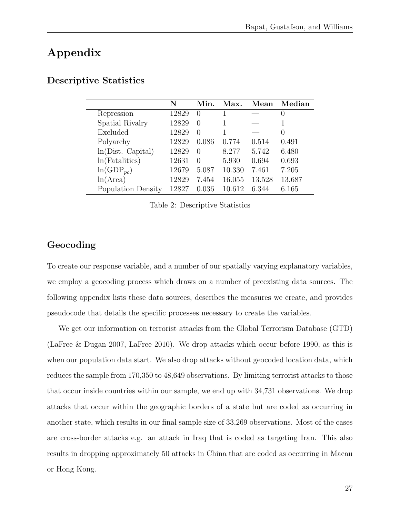# Appendix

|                    | N     | Min.             | Max.   | Mean   | Median           |
|--------------------|-------|------------------|--------|--------|------------------|
| Repression         | 12829 | $\left( \right)$ |        |        | $\theta$         |
| Spatial Rivalry    | 12829 | $\left( \right)$ |        |        |                  |
| Excluded           | 12829 | 0                |        |        | $\left( \right)$ |
| Polyarchy          | 12829 | 0.086            | 0.774  | 0.514  | 0.491            |
| ln(Dist. Capital)  | 12829 | $\left( \right)$ | 8.277  | 5.742  | 6.480            |
| ln(Fatalities)     | 12631 | $\left( \right)$ | 5.930  | 0.694  | 0.693            |
| $ln(GDP_{pc})$     | 12679 | 5.087            | 10.330 | 7.461  | 7.205            |
| ln(Area)           | 12829 | 7.454            | 16.055 | 13.528 | 13.687           |
| Population Density | 12827 | 0.036            | 10.612 | 6.344  | 6.165            |

#### <span id="page-26-0"></span>Descriptive Statistics

Table 2: Descriptive Statistics

#### Geocoding

To create our response variable, and a number of our spatially varying explanatory variables, we employ a geocoding process which draws on a number of preexisting data sources. The following appendix lists these data sources, describes the measures we create, and provides pseudocode that details the specific processes necessary to create the variables.

We get our information on terrorist attacks from the Global Terrorism Database (GTD) (LaFree & Dugan 2007, LaFree 2010). We drop attacks which occur before 1990, as this is when our population data start. We also drop attacks without geocoded location data, which reduces the sample from 170,350 to 48,649 observations. By limiting terrorist attacks to those that occur inside countries within our sample, we end up with 34,731 observations. We drop attacks that occur within the geographic borders of a state but are coded as occurring in another state, which results in our final sample size of 33,269 observations. Most of the cases are cross-border attacks e.g. an attack in Iraq that is coded as targeting Iran. This also results in dropping approximately 50 attacks in China that are coded as occurring in Macau or Hong Kong.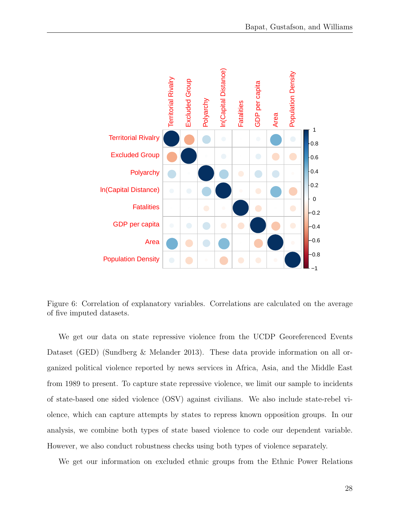

Figure 6: Correlation of explanatory variables. Correlations are calculated on the average of five imputed datasets.

We get our data on state repressive violence from the UCDP Georeferenced Events Dataset (GED) (Sundberg & Melander 2013). These data provide information on all organized political violence reported by news services in Africa, Asia, and the Middle East from 1989 to present. To capture state repressive violence, we limit our sample to incidents of state-based one sided violence (OSV) against civilians. We also include state-rebel violence, which can capture attempts by states to repress known opposition groups. In our analysis, we combine both types of state based violence to code our dependent variable. However, we also conduct robustness checks using both types of violence separately.

We get our information on excluded ethnic groups from the Ethnic Power Relations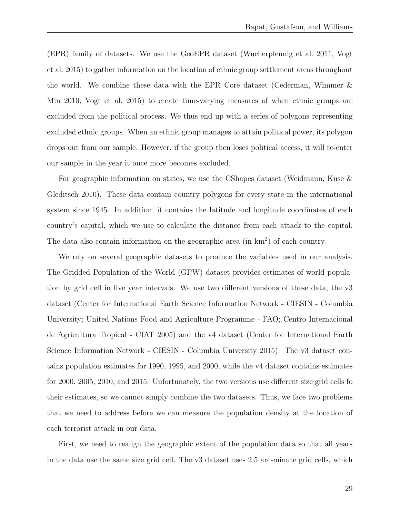(EPR) family of datasets. We use the GeoEPR dataset (Wucherpfennig et al. 2011, Vogt et al. 2015) to gather information on the location of ethnic group settlement areas throughout the world. We combine these data with the EPR Core dataset (Cederman, Wimmer & Min 2010, Vogt et al. 2015) to create time-varying measures of when ethnic groups are excluded from the political process. We thus end up with a series of polygons representing excluded ethnic groups. When an ethnic group manages to attain political power, its polygon drops out from our sample. However, if the group then loses political access, it will re-enter our sample in the year it once more becomes excluded.

For geographic information on states, we use the CShapes dataset (Weidmann, Kuse & Gleditsch 2010). These data contain country polygons for every state in the international system since 1945. In addition, it contains the latitude and longitude coordinates of each country's capital, which we use to calculate the distance from each attack to the capital. The data also contain information on the geographic area  $(in \, km^2)$  of each country.

We rely on several geographic datasets to produce the variables used in our analysis. The Gridded Population of the World (GPW) dataset provides estimates of world population by grid cell in five year intervals. We use two different versions of these data, the v3 dataset (Center for International Earth Science Information Network - CIESIN - Columbia University; United Nations Food and Agriculture Programme - FAO; Centro Internacional de Agricultura Tropical - CIAT 2005) and the v4 dataset (Center for International Earth Science Information Network - CIESIN - Columbia University 2015). The v3 dataset contains population estimates for 1990, 1995, and 2000, while the v4 dataset contains estimates for 2000, 2005, 2010, and 2015. Unfortunately, the two versions use different size grid cells fo their estimates, so we cannot simply combine the two datasets. Thus, we face two problems that we need to address before we can measure the population density at the location of each terrorist attack in our data.

First, we need to realign the geographic extent of the population data so that all years in the data use the same size grid cell. The v3 dataset uses 2.5 arc-minute grid cells, which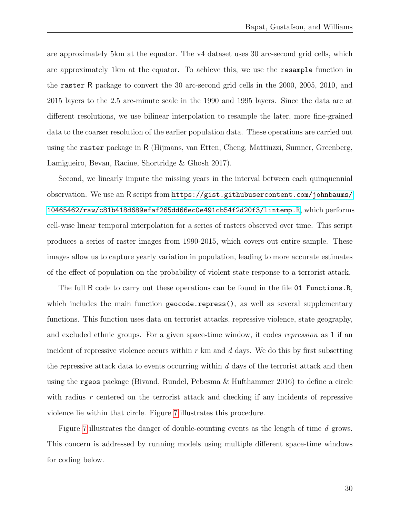are approximately 5km at the equator. The v4 dataset uses 30 arc-second grid cells, which are approximately 1km at the equator. To achieve this, we use the resample function in the raster R package to convert the 30 arc-second grid cells in the 2000, 2005, 2010, and 2015 layers to the 2.5 arc-minute scale in the 1990 and 1995 layers. Since the data are at different resolutions, we use bilinear interpolation to resample the later, more fine-grained data to the coarser resolution of the earlier population data. These operations are carried out using the raster package in R (Hijmans, van Etten, Cheng, Mattiuzzi, Sumner, Greenberg, Lamigueiro, Bevan, Racine, Shortridge & Ghosh 2017).

Second, we linearly impute the missing years in the interval between each quinquennial observation. We use an R script from [https://gist.githubusercontent.com/johnbaums/](https://gist.githubusercontent.com/johnbaums/10465462/raw/c81b418d689efaf265dd66ec0e491cb54f2d20f3/lintemp.R) [10465462/raw/c81b418d689efaf265dd66ec0e491cb54f2d20f3/lintemp.R](https://gist.githubusercontent.com/johnbaums/10465462/raw/c81b418d689efaf265dd66ec0e491cb54f2d20f3/lintemp.R), which performs cell-wise linear temporal interpolation for a series of rasters observed over time. This script produces a series of raster images from 1990-2015, which covers out entire sample. These images allow us to capture yearly variation in population, leading to more accurate estimates of the effect of population on the probability of violent state response to a terrorist attack.

The full R code to carry out these operations can be found in the file 01 Functions.R, which includes the main function geocode.repress(), as well as several supplementary functions. This function uses data on terrorist attacks, repressive violence, state geography, and excluded ethnic groups. For a given space-time window, it codes repression as 1 if an incident of repressive violence occurs within  $r \text{ km}$  and  $d$  days. We do this by first subsetting the repressive attack data to events occurring within  $d$  days of the terrorist attack and then using the rgeos package (Bivand, Rundel, Pebesma & Hufthammer 2016) to define a circle with radius r centered on the terrorist attack and checking if any incidents of repressive violence lie within that circle. Figure [7](#page-30-0) illustrates this procedure.

Figure [7](#page-30-0) illustrates the danger of double-counting events as the length of time d grows. This concern is addressed by running models using multiple different space-time windows for coding below.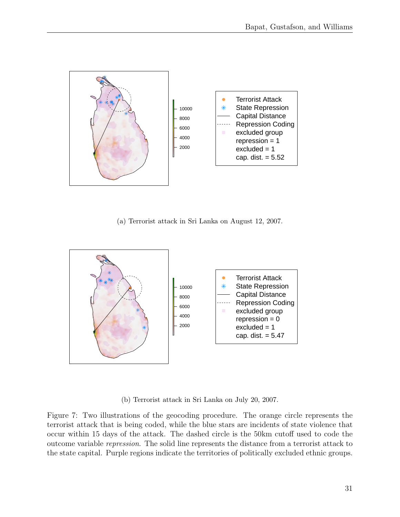<span id="page-30-0"></span>

(a) Terrorist attack in Sri Lanka on August 12, 2007.



(b) Terrorist attack in Sri Lanka on July 20, 2007.

Figure 7: Two illustrations of the geocoding procedure. The orange circle represents the terrorist attack that is being coded, while the blue stars are incidents of state violence that occur within 15 days of the attack. The dashed circle is the 50km cutoff used to code the outcome variable repression. The solid line represents the distance from a terrorist attack to the state capital. Purple regions indicate the territories of politically excluded ethnic groups.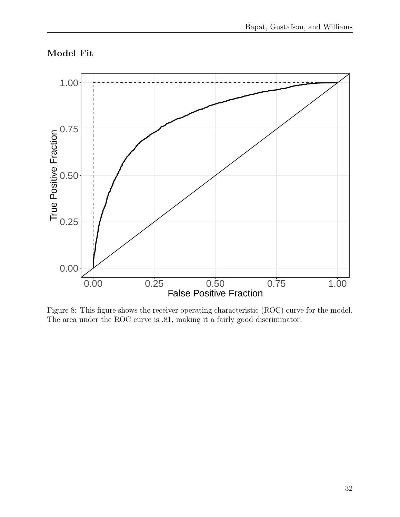# Model Fit



Figure 8: This figure shows the receiver operating characteristic (ROC) curve for the model. The area under the ROC curve is .81, making it a fairly good discriminator.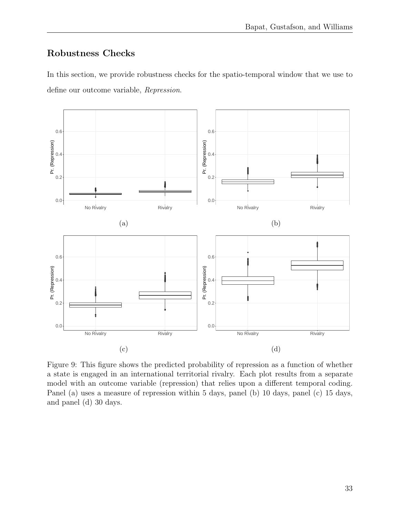### Robustness Checks

In this section, we provide robustness checks for the spatio-temporal window that we use to define our outcome variable, Repression.



Figure 9: This figure shows the predicted probability of repression as a function of whether a state is engaged in an international territorial rivalry. Each plot results from a separate model with an outcome variable (repression) that relies upon a different temporal coding. Panel (a) uses a measure of repression within 5 days, panel (b) 10 days, panel (c) 15 days, and panel (d) 30 days.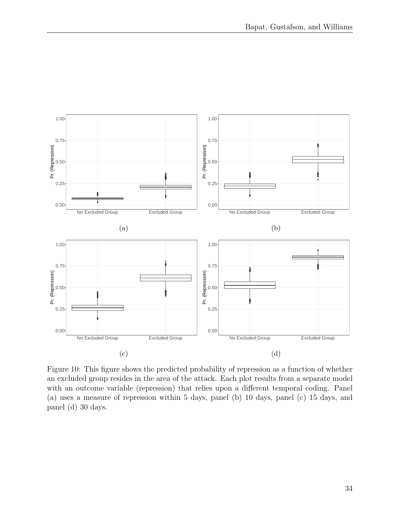

Figure 10: This figure shows the predicted probability of repression as a function of whether an excluded group resides in the area of the attack. Each plot results from a separate model with an outcome variable (repression) that relies upon a different temporal coding. Panel (a) uses a measure of repression within 5 days, panel (b) 10 days, panel (c) 15 days, and panel (d) 30 days.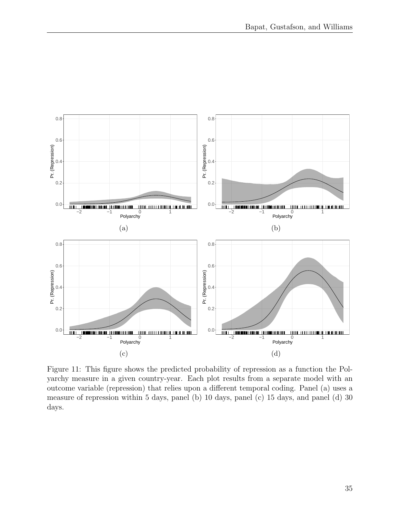

Figure 11: This figure shows the predicted probability of repression as a function the Polyarchy measure in a given country-year. Each plot results from a separate model with an outcome variable (repression) that relies upon a different temporal coding. Panel (a) uses a measure of repression within 5 days, panel (b) 10 days, panel (c) 15 days, and panel (d) 30 days.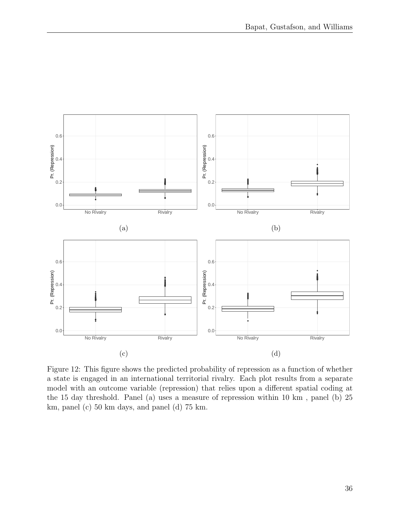

Figure 12: This figure shows the predicted probability of repression as a function of whether a state is engaged in an international territorial rivalry. Each plot results from a separate model with an outcome variable (repression) that relies upon a different spatial coding at the 15 day threshold. Panel (a) uses a measure of repression within 10 km , panel (b) 25 km, panel (c) 50 km days, and panel (d) 75 km.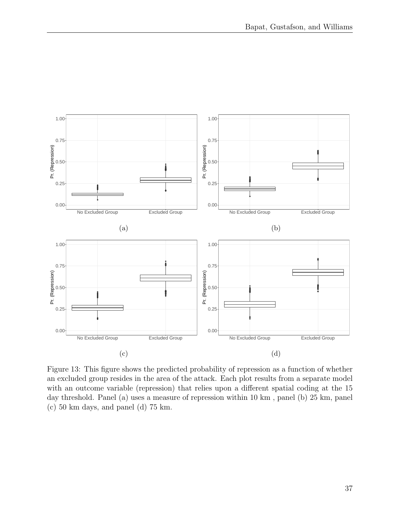

Figure 13: This figure shows the predicted probability of repression as a function of whether an excluded group resides in the area of the attack. Each plot results from a separate model with an outcome variable (repression) that relies upon a different spatial coding at the 15 day threshold. Panel (a) uses a measure of repression within 10 km , panel (b) 25 km, panel (c) 50 km days, and panel (d) 75 km.